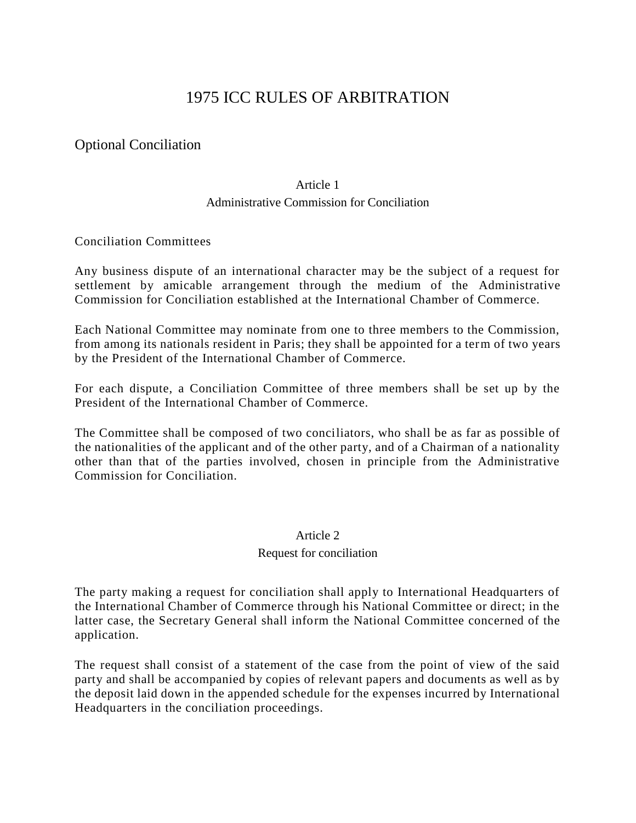# 1975 ICC RULES OF ARBITRATION

Optional Conciliation

# Article 1

# Administrative Commission for Conciliation

Conciliation Committees

Any business dispute of an international character may be the subject of a request for settlement by amicable arrangement through the medium of the Administrative Commission for Conciliation established at the International Chamber of Commerce.

Each National Committee may nominate from one to three members to the Commission, from among its nationals resident in Paris; they shall be appointed for a term of two years by the President of the International Chamber of Commerce.

For each dispute, a Conciliation Committee of three members shall be set up by the President of the International Chamber of Commerce.

The Committee shall be composed of two conciliators, who shall be as far as possible of the nationalities of the applicant and of the other party, and of a Chairman of a nationality other than that of the parties involved, chosen in principle from the Administrative Commission for Conciliation.

# Article 2

# Request for conciliation

The party making a request for conciliation shall apply to International Headquarters of the International Chamber of Commerce through his National Committee or direct; in the latter case, the Secretary General shall inform the National Committee concerned of the application.

The request shall consist of a statement of the case from the point of view of the said party and shall be accompanied by copies of relevant papers and documents as well as by the deposit laid down in the appended schedule for the expenses incurred by International Headquarters in the conciliation proceedings.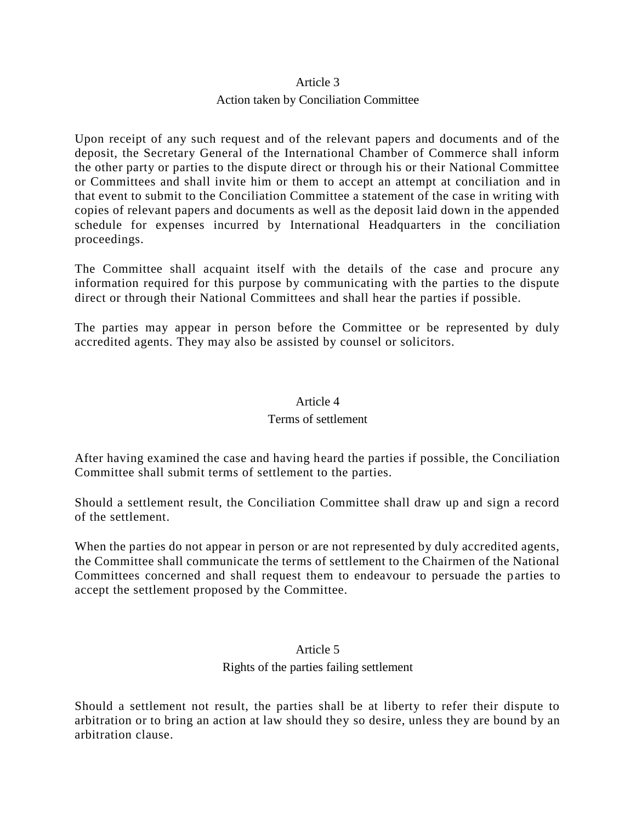# Action taken by Conciliation Committee

Upon receipt of any such request and of the relevant papers and documents and of the deposit, the Secretary General of the International Chamber of Commerce shall inform the other party or parties to the dispute direct or through his or their National Committee or Committees and shall invite him or them to accept an attempt at conciliation and in that event to submit to the Conciliation Committee a statement of the case in writing with copies of relevant papers and documents as well as the deposit laid down in the appended schedule for expenses incurred by International Headquarters in the conciliation proceedings.

The Committee shall acquaint itself with the details of the case and procure any information required for this purpose by communicating with the parties to the dispute direct or through their National Committees and shall hear the parties if possible.

The parties may appear in person before the Committee or be represented by duly accredited agents. They may also be assisted by counsel or solicitors.

# Article 4

# Terms of settlement

After having examined the case and having heard the parties if possible, the Conciliation Committee shall submit terms of settlement to the parties.

Should a settlement result, the Conciliation Committee shall draw up and sign a record of the settlement.

When the parties do not appear in person or are not represented by duly accredited agents, the Committee shall communicate the terms of settlement to the Chairmen of the National Committees concerned and shall request them to endeavour to persuade the parties to accept the settlement proposed by the Committee.

# Article 5 Rights of the parties failing settlement

Should a settlement not result, the parties shall be at liberty to refer their dispute to arbitration or to bring an action at law should they so desire, unless they are bound by an arbitration clause.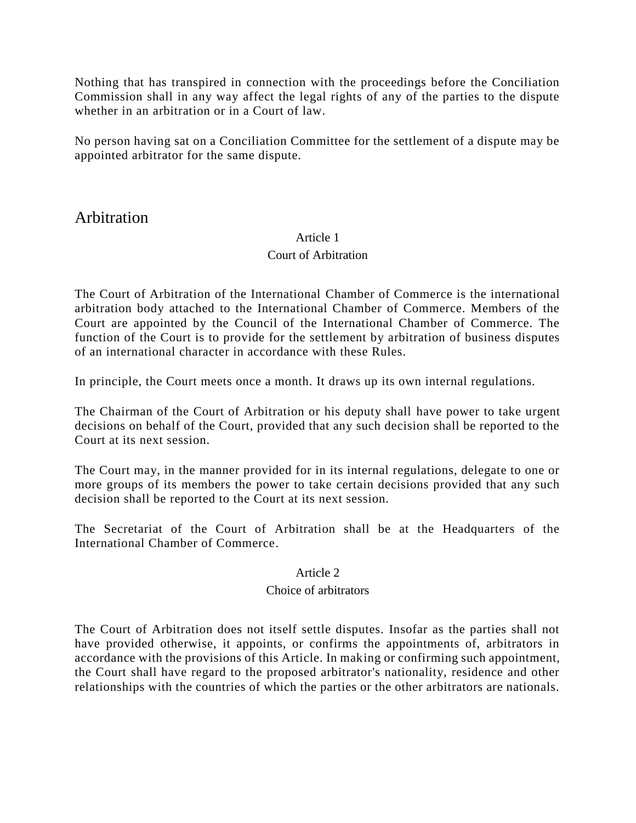Nothing that has transpired in connection with the proceedings before the Conciliation Commission shall in any way affect the legal rights of any of the parties to the dispute whether in an arbitration or in a Court of law.

No person having sat on a Conciliation Committee for the settlement of a dispute may be appointed arbitrator for the same dispute.

# Arbitration

# Article 1

# Court of Arbitration

The Court of Arbitration of the International Chamber of Commerce is the international arbitration body attached to the International Chamber of Commerce. Members of the Court are appointed by the Council of the International Chamber of Commerce. The function of the Court is to provide for the settlement by arbitration of business disputes of an international character in accordance with these Rules.

In principle, the Court meets once a month. It draws up its own internal regulations.

The Chairman of the Court of Arbitration or his deputy shall have power to take urgent decisions on behalf of the Court, provided that any such decision shall be reported to the Court at its next session.

The Court may, in the manner provided for in its internal regulations, delegate to one or more groups of its members the power to take certain decisions provided that any such decision shall be reported to the Court at its next session.

The Secretariat of the Court of Arbitration shall be at the Headquarters of the International Chamber of Commerce.

# Article 2

# Choice of arbitrators

The Court of Arbitration does not itself settle disputes. Insofar as the parties shall not have provided otherwise, it appoints, or confirms the appointments of, arbitrators in accordance with the provisions of this Article. In making or confirming such appointment, the Court shall have regard to the proposed arbitrator's nationality, residence and other relationships with the countries of which the parties or the other arbitrators are nationals.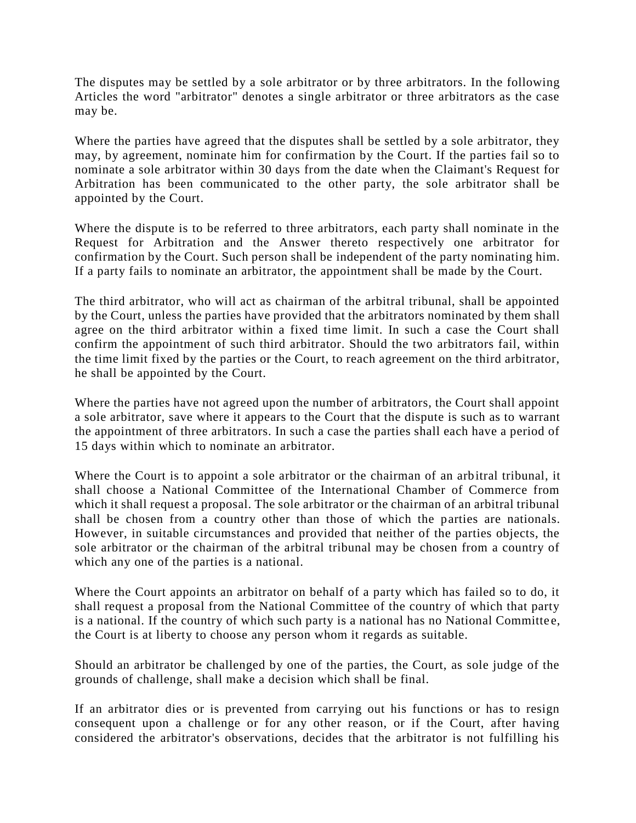The disputes may be settled by a sole arbitrator or by three arbitrators. In the following Articles the word "arbitrator" denotes a single arbitrator or three arbitrators as the case may be.

Where the parties have agreed that the disputes shall be settled by a sole arbitrator, they may, by agreement, nominate him for confirmation by the Court. If the parties fail so to nominate a sole arbitrator within 30 days from the date when the Claimant's Request for Arbitration has been communicated to the other party, the sole arbitrator shall be appointed by the Court.

Where the dispute is to be referred to three arbitrators, each party shall nominate in the Request for Arbitration and the Answer thereto respectively one arbitrator for confirmation by the Court. Such person shall be independent of the party nominating him. If a party fails to nominate an arbitrator, the appointment shall be made by the Court.

The third arbitrator, who will act as chairman of the arbitral tribunal, shall be appointed by the Court, unless the parties have provided that the arbitrators nominated by them shall agree on the third arbitrator within a fixed time limit. In such a case the Court shall confirm the appointment of such third arbitrator. Should the two arbitrators fail, within the time limit fixed by the parties or the Court, to reach agreement on the third arbitrator, he shall be appointed by the Court.

Where the parties have not agreed upon the number of arbitrators, the Court shall appoint a sole arbitrator, save where it appears to the Court that the dispute is such as to warrant the appointment of three arbitrators. In such a case the parties shall each have a period of 15 days within which to nominate an arbitrator.

Where the Court is to appoint a sole arbitrator or the chairman of an arbitral tribunal, it shall choose a National Committee of the International Chamber of Commerce from which it shall request a proposal. The sole arbitrator or the chairman of an arbitral tribunal shall be chosen from a country other than those of which the parties are nationals. However, in suitable circumstances and provided that neither of the parties objects, the sole arbitrator or the chairman of the arbitral tribunal may be chosen from a country of which any one of the parties is a national.

Where the Court appoints an arbitrator on behalf of a party which has failed so to do, it shall request a proposal from the National Committee of the country of which that party is a national. If the country of which such party is a national has no National Committe e, the Court is at liberty to choose any person whom it regards as suitable.

Should an arbitrator be challenged by one of the parties, the Court, as sole judge of the grounds of challenge, shall make a decision which shall be final.

If an arbitrator dies or is prevented from carrying out his functions or has to resign consequent upon a challenge or for any other reason, or if the Court, after having considered the arbitrator's observations, decides that the arbitrator is not fulfilling his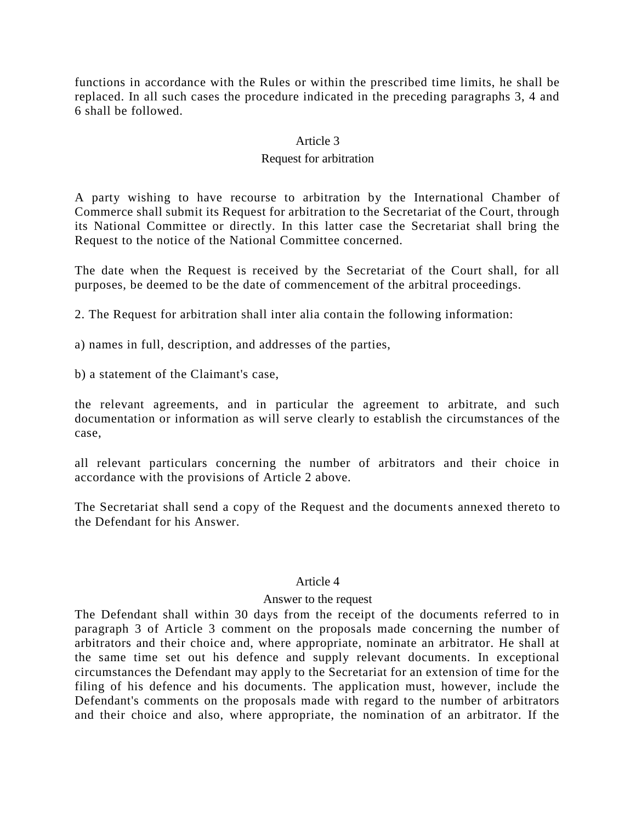functions in accordance with the Rules or within the prescribed time limits, he shall be replaced. In all such cases the procedure indicated in the preceding paragraphs 3, 4 and 6 shall be followed.

### Article 3

### Request for arbitration

A party wishing to have recourse to arbitration by the International Chamber of Commerce shall submit its Request for arbitration to the Secretariat of the Court, through its National Committee or directly. In this latter case the Secretariat shall bring the Request to the notice of the National Committee concerned.

The date when the Request is received by the Secretariat of the Court shall, for all purposes, be deemed to be the date of commencement of the arbitral proceedings.

2. The Request for arbitration shall inter alia contain the following information:

a) names in full, description, and addresses of the parties,

b) a statement of the Claimant's case,

the relevant agreements, and in particular the agreement to arbitrate, and such documentation or information as will serve clearly to establish the circumstances of the case,

all relevant particulars concerning the number of arbitrators and their choice in accordance with the provisions of Article 2 above.

The Secretariat shall send a copy of the Request and the documents annexed thereto to the Defendant for his Answer.

#### Article 4

# Answer to the request

The Defendant shall within 30 days from the receipt of the documents referred to in paragraph 3 of Article 3 comment on the proposals made concerning the number of arbitrators and their choice and, where appropriate, nominate an arbitrator. He shall at the same time set out his defence and supply relevant documents. In exceptional circumstances the Defendant may apply to the Secretariat for an extension of time for the filing of his defence and his documents. The application must, however, include the Defendant's comments on the proposals made with regard to the number of arbitrators and their choice and also, where appropriate, the nomination of an arbitrator. If the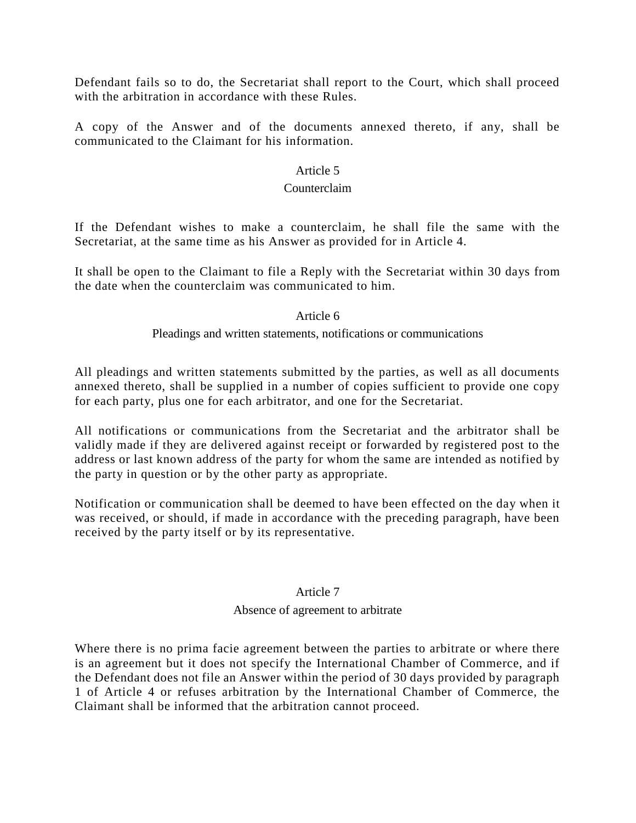Defendant fails so to do, the Secretariat shall report to the Court, which shall proceed with the arbitration in accordance with these Rules.

A copy of the Answer and of the documents annexed thereto, if any, shall be communicated to the Claimant for his information.

### Article 5

#### Counterclaim

If the Defendant wishes to make a counterclaim, he shall file the same with the Secretariat, at the same time as his Answer as provided for in Article 4.

It shall be open to the Claimant to file a Reply with the Secretariat within 30 days from the date when the counterclaim was communicated to him.

# Article 6

#### Pleadings and written statements, notifications or communications

All pleadings and written statements submitted by the parties, as well as all documents annexed thereto, shall be supplied in a number of copies sufficient to provide one copy for each party, plus one for each arbitrator, and one for the Secretariat.

All notifications or communications from the Secretariat and the arbitrator shall be validly made if they are delivered against receipt or forwarded by registered post to the address or last known address of the party for whom the same are intended as notified by the party in question or by the other party as appropriate.

Notification or communication shall be deemed to have been effected on the day when it was received, or should, if made in accordance with the preceding paragraph, have been received by the party itself or by its representative.

#### Article 7

#### Absence of agreement to arbitrate

Where there is no prima facie agreement between the parties to arbitrate or where there is an agreement but it does not specify the International Chamber of Commerce, and if the Defendant does not file an Answer within the period of 30 days provided by paragraph 1 of Article 4 or refuses arbitration by the International Chamber of Commerce, the Claimant shall be informed that the arbitration cannot proceed.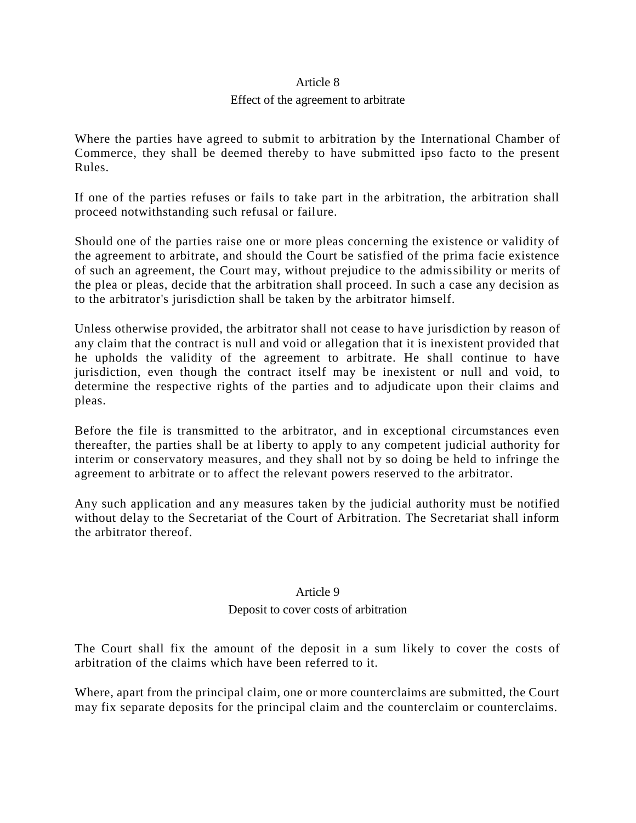# Effect of the agreement to arbitrate

Where the parties have agreed to submit to arbitration by the International Chamber of Commerce, they shall be deemed thereby to have submitted ipso facto to the present Rules.

If one of the parties refuses or fails to take part in the arbitration, the arbitration shall proceed notwithstanding such refusal or failure.

Should one of the parties raise one or more pleas concerning the existence or validity of the agreement to arbitrate, and should the Court be satisfied of the prima facie existence of such an agreement, the Court may, without prejudice to the admissibility or merits of the plea or pleas, decide that the arbitration shall proceed. In such a case any decision as to the arbitrator's jurisdiction shall be taken by the arbitrator himself.

Unless otherwise provided, the arbitrator shall not cease to have jurisdiction by reason of any claim that the contract is null and void or allegation that it is inexistent provided that he upholds the validity of the agreement to arbitrate. He shall continue to have jurisdiction, even though the contract itself may be inexistent or null and void, to determine the respective rights of the parties and to adjudicate upon their claims and pleas.

Before the file is transmitted to the arbitrator, and in exceptional circumstances even thereafter, the parties shall be at liberty to apply to any competent judicial authority for interim or conservatory measures, and they shall not by so doing be held to infringe the agreement to arbitrate or to affect the relevant powers reserved to the arbitrator.

Any such application and any measures taken by the judicial authority must be notified without delay to the Secretariat of the Court of Arbitration. The Secretariat shall inform the arbitrator thereof.

# Article 9

# Deposit to cover costs of arbitration

The Court shall fix the amount of the deposit in a sum likely to cover the costs of arbitration of the claims which have been referred to it.

Where, apart from the principal claim, one or more counterclaims are submitted, the Court may fix separate deposits for the principal claim and the counterclaim or counterclaims.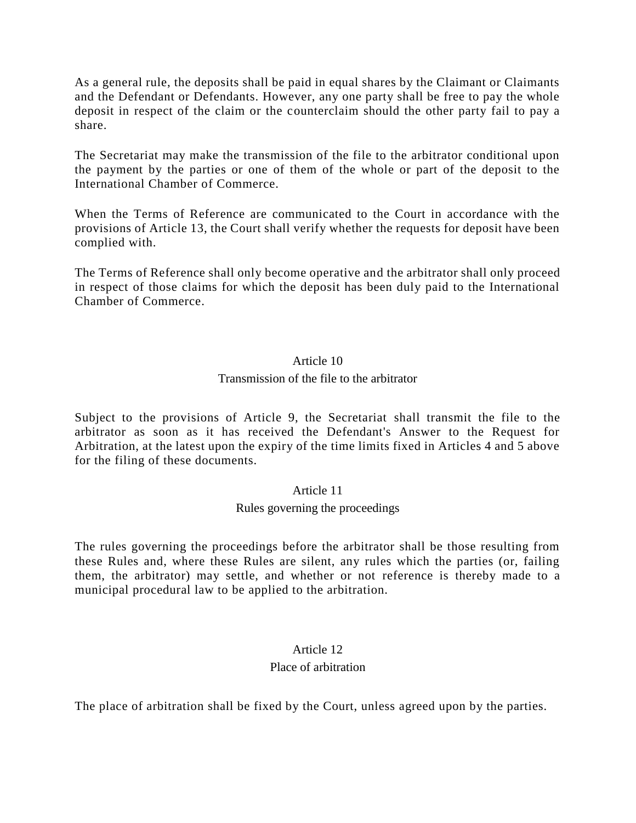As a general rule, the deposits shall be paid in equal shares by the Claimant or Claimants and the Defendant or Defendants. However, any one party shall be free to pay the whole deposit in respect of the claim or the counterclaim should the other party fail to pay a share.

The Secretariat may make the transmission of the file to the arbitrator conditional upon the payment by the parties or one of them of the whole or part of the deposit to the International Chamber of Commerce.

When the Terms of Reference are communicated to the Court in accordance with the provisions of Article 13, the Court shall verify whether the requests for deposit have been complied with.

The Terms of Reference shall only become operative and the arbitrator shall only proceed in respect of those claims for which the deposit has been duly paid to the International Chamber of Commerce.

# Article 10

#### Transmission of the file to the arbitrator

Subject to the provisions of Article 9, the Secretariat shall transmit the file to the arbitrator as soon as it has received the Defendant's Answer to the Request for Arbitration, at the latest upon the expiry of the time limits fixed in Articles 4 and 5 above for the filing of these documents.

# Article 11

# Rules governing the proceedings

The rules governing the proceedings before the arbitrator shall be those resulting from these Rules and, where these Rules are silent, any rules which the parties (or, failing them, the arbitrator) may settle, and whether or not reference is thereby made to a municipal procedural law to be applied to the arbitration.

# Article 12 Place of arbitration

The place of arbitration shall be fixed by the Court, unless agreed upon by the parties.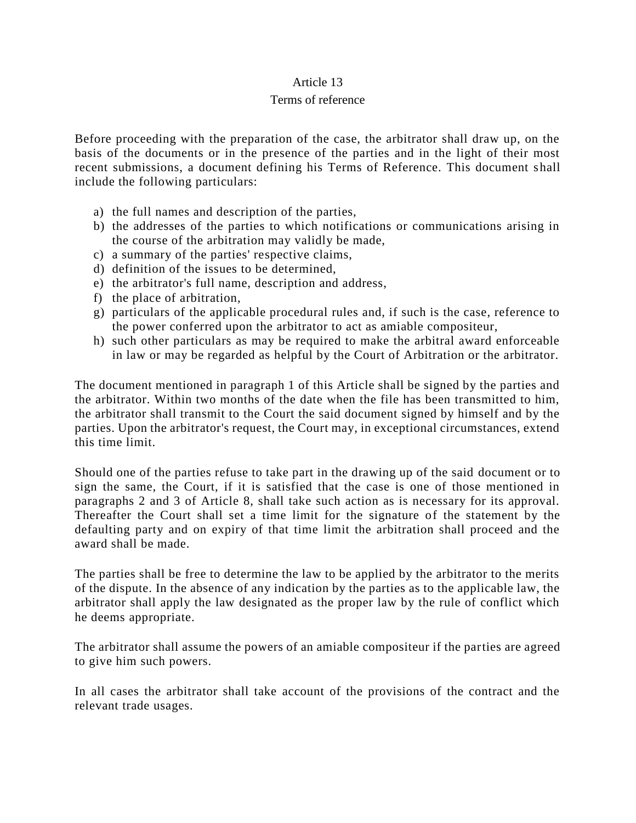# Terms of reference

Before proceeding with the preparation of the case, the arbitrator shall draw up, on the basis of the documents or in the presence of the parties and in the light of their most recent submissions, a document defining his Terms of Reference. This document shall include the following particulars:

- a) the full names and description of the parties,
- b) the addresses of the parties to which notifications or communications arising in the course of the arbitration may validly be made,
- c) a summary of the parties' respective claims,
- d) definition of the issues to be determined,
- e) the arbitrator's full name, description and address,
- f) the place of arbitration,
- g) particulars of the applicable procedural rules and, if such is the case, reference to the power conferred upon the arbitrator to act as amiable compositeur,
- h) such other particulars as may be required to make the arbitral award enforceable in law or may be regarded as helpful by the Court of Arbitration or the arbitrator.

The document mentioned in paragraph 1 of this Article shall be signed by the parties and the arbitrator. Within two months of the date when the file has been transmitted to him, the arbitrator shall transmit to the Court the said document signed by himself and by the parties. Upon the arbitrator's request, the Court may, in exceptional circumstances, extend this time limit.

Should one of the parties refuse to take part in the drawing up of the said document or to sign the same, the Court, if it is satisfied that the case is one of those mentioned in paragraphs 2 and 3 of Article 8, shall take such action as is necessary for its approval. Thereafter the Court shall set a time limit for the signature of the statement by the defaulting party and on expiry of that time limit the arbitration shall proceed and the award shall be made.

The parties shall be free to determine the law to be applied by the arbitrator to the merits of the dispute. In the absence of any indication by the parties as to the applicable law, the arbitrator shall apply the law designated as the proper law by the rule of conflict which he deems appropriate.

The arbitrator shall assume the powers of an amiable compositeur if the parties are agreed to give him such powers.

In all cases the arbitrator shall take account of the provisions of the contract and the relevant trade usages.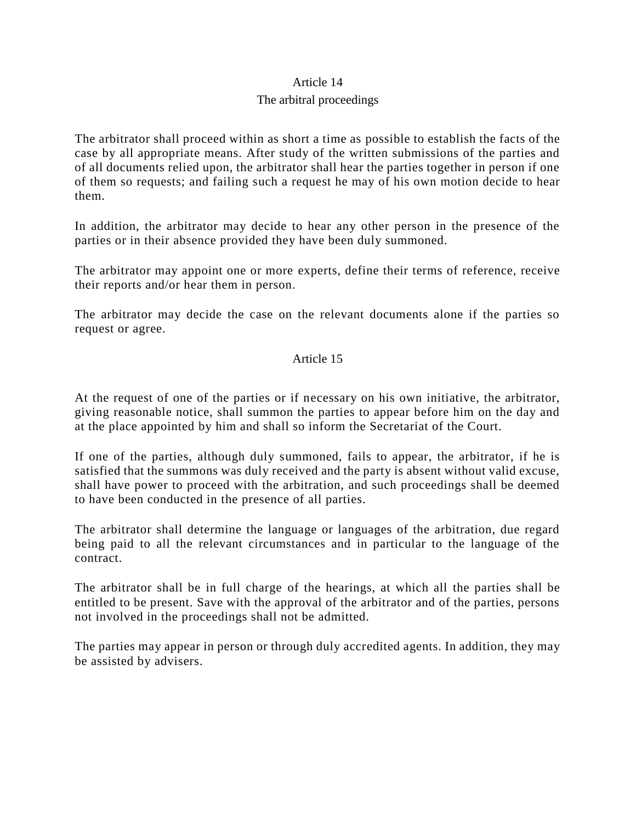# The arbitral proceedings

The arbitrator shall proceed within as short a time as possible to establish the facts of the case by all appropriate means. After study of the written submissions of the parties and of all documents relied upon, the arbitrator shall hear the parties together in person if one of them so requests; and failing such a request he may of his own motion decide to hear them.

In addition, the arbitrator may decide to hear any other person in the presence of the parties or in their absence provided they have been duly summoned.

The arbitrator may appoint one or more experts, define their terms of reference, receive their reports and/or hear them in person.

The arbitrator may decide the case on the relevant documents alone if the parties so request or agree.

# Article 15

At the request of one of the parties or if necessary on his own initiative, the arbitrator, giving reasonable notice, shall summon the parties to appear before him on the day and at the place appointed by him and shall so inform the Secretariat of the Court.

If one of the parties, although duly summoned, fails to appear, the arbitrator, if he is satisfied that the summons was duly received and the party is absent without valid excuse, shall have power to proceed with the arbitration, and such proceedings shall be deemed to have been conducted in the presence of all parties.

The arbitrator shall determine the language or languages of the arbitration, due regard being paid to all the relevant circumstances and in particular to the language of the contract.

The arbitrator shall be in full charge of the hearings, at which all the parties shall be entitled to be present. Save with the approval of the arbitrator and of the parties, persons not involved in the proceedings shall not be admitted.

The parties may appear in person or through duly accredited agents. In addition, they may be assisted by advisers.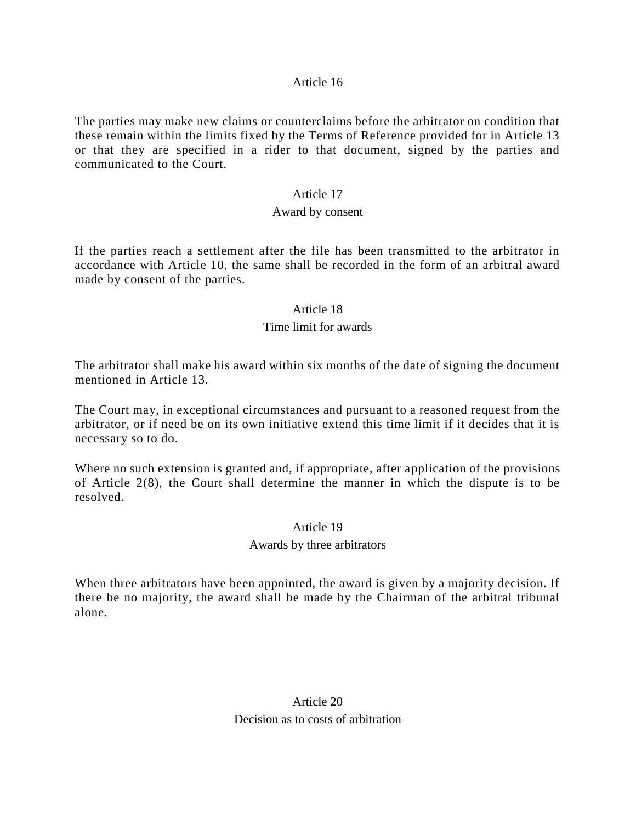The parties may make new claims or counterclaims before the arbitrator on condition that these remain within the limits fixed by the Terms of Reference provided for in Article 13 or that they are specified in a rider to that document, signed by the parties and communicated to the Court.

#### Article 17

#### Award by consent

If the parties reach a settlement after the file has been transmitted to the arbitrator in accordance with Article 10, the same shall be recorded in the form of an arbitral award made by consent of the parties.

#### Article 18

#### Time limit for awards

The arbitrator shall make his award within six months of the date of signing the document mentioned in Article 13.

The Court may, in exceptional circumstances and pursuant to a reasoned request from the arbitrator, or if need be on its own initiative extend this time limit if it decides that it is necessary so to do.

Where no such extension is granted and, if appropriate, after application of the provisions of Article 2(8), the Court shall determine the manner in which the dispute is to be resolved.

### Article 19

#### Awards by three arbitrators

When three arbitrators have been appointed, the award is given by a majority decision. If there be no majority, the award shall be made by the Chairman of the arbitral tribunal alone.

# Article 20 Decision as to costs of arbitration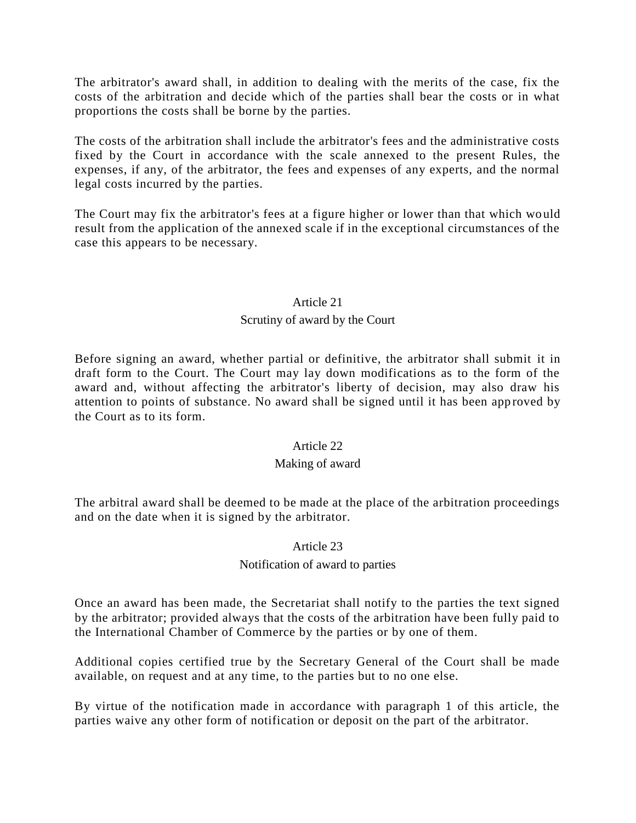The arbitrator's award shall, in addition to dealing with the merits of the case, fix the costs of the arbitration and decide which of the parties shall bear the costs or in what proportions the costs shall be borne by the parties.

The costs of the arbitration shall include the arbitrator's fees and the administrative costs fixed by the Court in accordance with the scale annexed to the present Rules, the expenses, if any, of the arbitrator, the fees and expenses of any experts, and the normal legal costs incurred by the parties.

The Court may fix the arbitrator's fees at a figure higher or lower than that which wo uld result from the application of the annexed scale if in the exceptional circumstances of the case this appears to be necessary.

# Article 21

# Scrutiny of award by the Court

Before signing an award, whether partial or definitive, the arbitrator shall submit it in draft form to the Court. The Court may lay down modifications as to the form of the award and, without affecting the arbitrator's liberty of decision, may also draw his attention to points of substance. No award shall be signed until it has been approved by the Court as to its form.

# Article 22

# Making of award

The arbitral award shall be deemed to be made at the place of the arbitration proceedings and on the date when it is signed by the arbitrator.

# Article 23

# Notification of award to parties

Once an award has been made, the Secretariat shall notify to the parties the text signed by the arbitrator; provided always that the costs of the arbitration have been fully paid to the International Chamber of Commerce by the parties or by one of them.

Additional copies certified true by the Secretary General of the Court shall be made available, on request and at any time, to the parties but to no one else.

By virtue of the notification made in accordance with paragraph 1 of this article, the parties waive any other form of notification or deposit on the part of the arbitrator.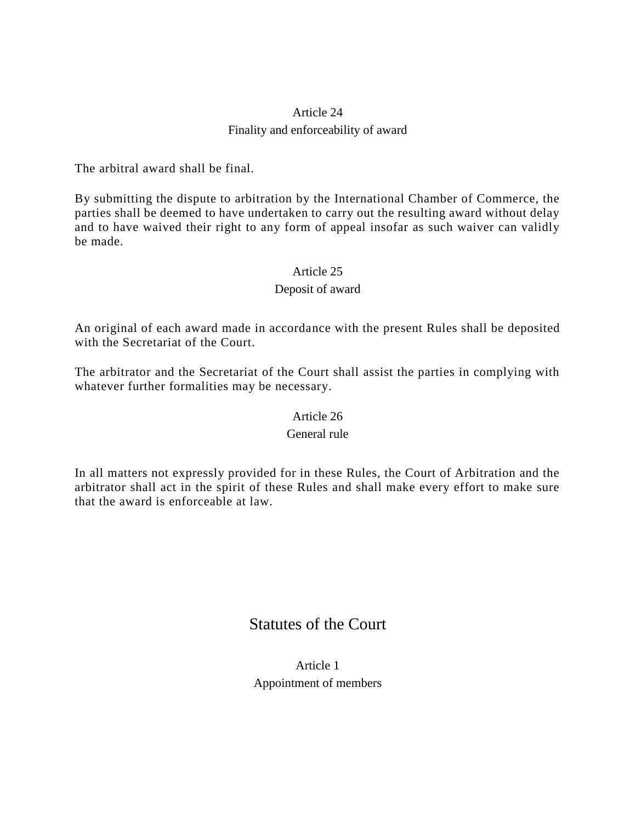# Article 24 Finality and enforceability of award

The arbitral award shall be final.

By submitting the dispute to arbitration by the International Chamber of Commerce, the parties shall be deemed to have undertaken to carry out the resulting award without delay and to have waived their right to any form of appeal insofar as such waiver can validly be made.

# Article 25

# Deposit of award

An original of each award made in accordance with the present Rules shall be deposited with the Secretariat of the Court.

The arbitrator and the Secretariat of the Court shall assist the parties in complying with whatever further formalities may be necessary.

# Article 26

# General rule

In all matters not expressly provided for in these Rules, the Court of Arbitration and the arbitrator shall act in the spirit of these Rules and shall make every effort to make sure that the award is enforceable at law.

# Statutes of the Court

# Article 1 Appointment of members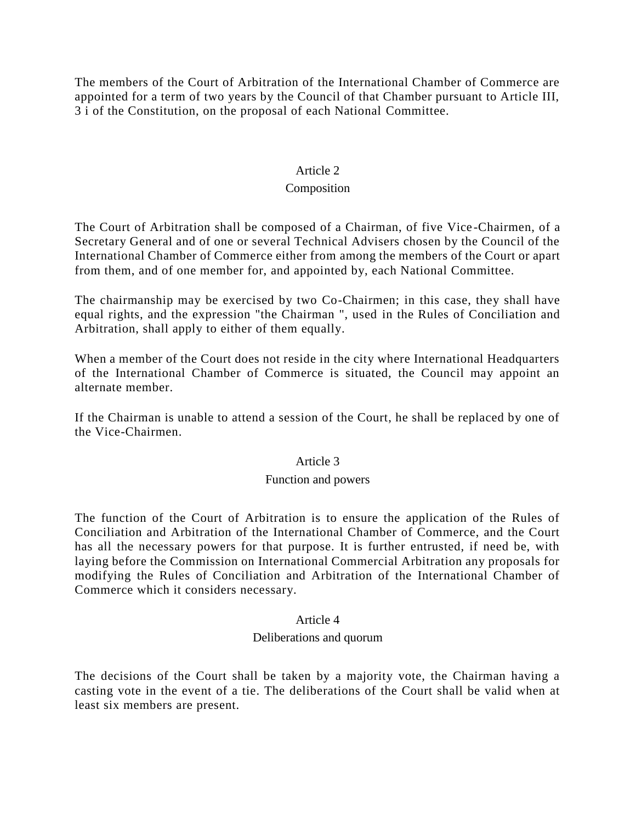The members of the Court of Arbitration of the International Chamber of Commerce are appointed for a term of two years by the Council of that Chamber pursuant to Article III, 3 i of the Constitution, on the proposal of each National Committee.

# Article 2

# Composition

The Court of Arbitration shall be composed of a Chairman, of five Vice -Chairmen, of a Secretary General and of one or several Technical Advisers chosen by the Council of the International Chamber of Commerce either from among the members of the Court or apart from them, and of one member for, and appointed by, each National Committee.

The chairmanship may be exercised by two Co-Chairmen; in this case, they shall have equal rights, and the expression "the Chairman ", used in the Rules of Conciliation and Arbitration, shall apply to either of them equally.

When a member of the Court does not reside in the city where International Headquarters of the International Chamber of Commerce is situated, the Council may appoint an alternate member.

If the Chairman is unable to attend a session of the Court, he shall be replaced by one of the Vice-Chairmen.

# Article 3

# Function and powers

The function of the Court of Arbitration is to ensure the application of the Rules of Conciliation and Arbitration of the International Chamber of Commerce, and the Court has all the necessary powers for that purpose. It is further entrusted, if need be, with laying before the Commission on International Commercial Arbitration any proposals for modifying the Rules of Conciliation and Arbitration of the International Chamber of Commerce which it considers necessary.

# Article 4

# Deliberations and quorum

The decisions of the Court shall be taken by a majority vote, the Chairman having a casting vote in the event of a tie. The deliberations of the Court shall be valid when at least six members are present.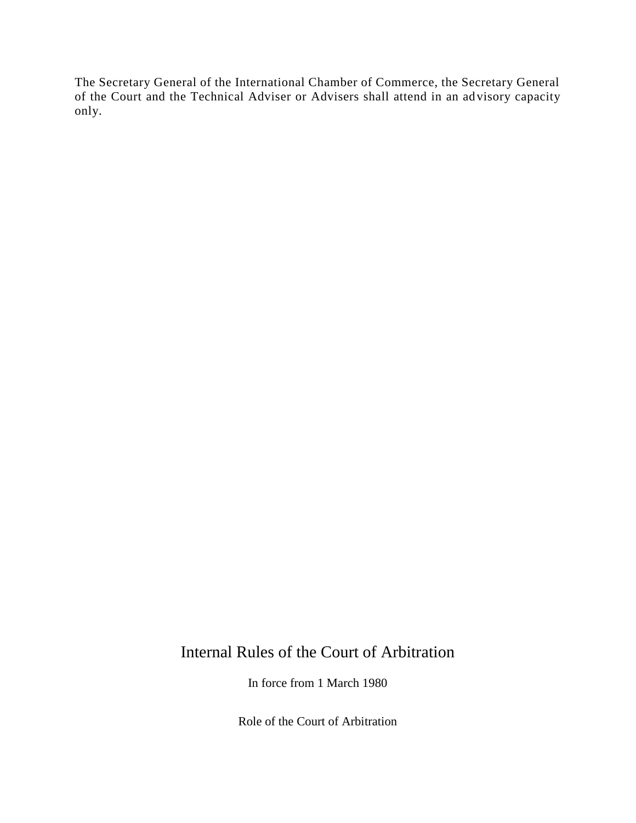The Secretary General of the International Chamber of Commerce, the Secretary General of the Court and the Technical Adviser or Advisers shall attend in an advisory capacity only.

# Internal Rules of the Court of Arbitration

In force from 1 March 1980

Role of the Court of Arbitration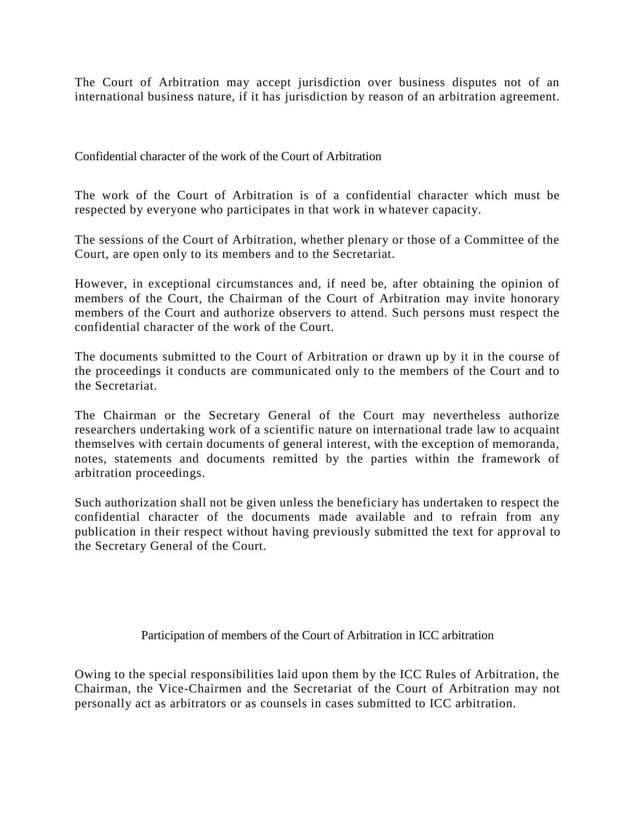The Court of Arbitration may accept jurisdiction over business disputes not of an international business nature, if it has jurisdiction by reason of an arbitration agreement.

Confidential character of the work of the Court of Arbitration

The work of the Court of Arbitration is of a confidential character which must be respected by everyone who participates in that work in whatever capacity.

The sessions of the Court of Arbitration, whether plenary or those of a Committee of the Court, are open only to its members and to the Secretariat.

However, in exceptional circumstances and, if need be, after obtaining the opinion of members of the Court, the Chairman of the Court of Arbitration may invite honorary members of the Court and authorize observers to attend. Such persons must respect the confidential character of the work of the Court.

The documents submitted to the Court of Arbitration or drawn up by it in the course of the proceedings it conducts are communicated only to the members of the Court and to the Secretariat.

The Chairman or the Secretary General of the Court may nevertheless authorize researchers undertaking work of a scientific nature on international trade law to acquaint themselves with certain documents of general interest, with the exception of memoranda, notes, statements and documents remitted by the parties within the framework of arbitration proceedings.

Such authorization shall not be given unless the beneficiary has undertaken to respect the confidential character of the documents made available and to refrain from any publication in their respect without having previously submitted the text for approval to the Secretary General of the Court.

Participation of members of the Court of Arbitration in ICC arbitration

Owing to the special responsibilities laid upon them by the ICC Rules of Arbitration, the Chairman, the Vice-Chairmen and the Secretariat of the Court of Arbitration may not personally act as arbitrators or as counsels in cases submitted to ICC arbitration.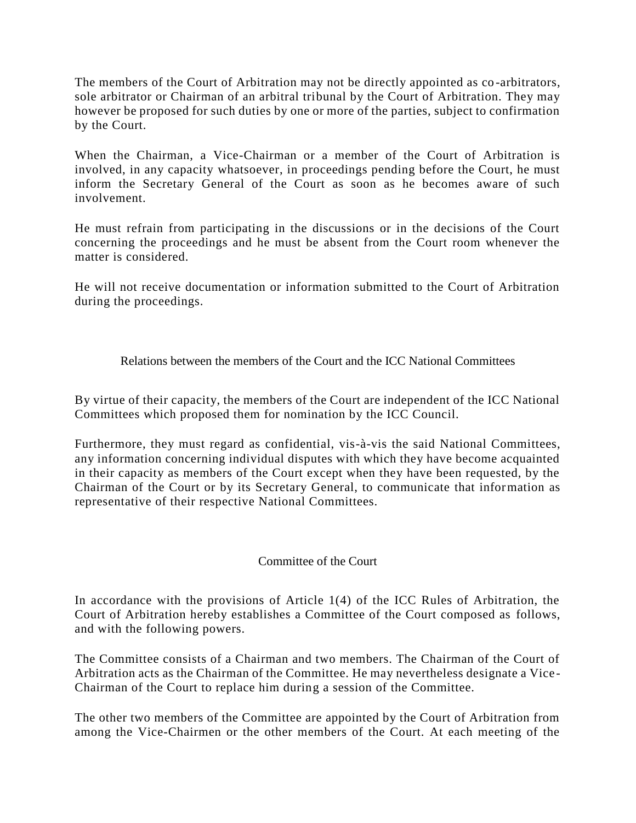The members of the Court of Arbitration may not be directly appointed as co-arbitrators, sole arbitrator or Chairman of an arbitral tribunal by the Court of Arbitration. They may however be proposed for such duties by one or more of the parties, subject to confirmation by the Court.

When the Chairman, a Vice-Chairman or a member of the Court of Arbitration is involved, in any capacity whatsoever, in proceedings pending before the Court, he must inform the Secretary General of the Court as soon as he becomes aware of such involvement.

He must refrain from participating in the discussions or in the decisions of the Court concerning the proceedings and he must be absent from the Court room whenever the matter is considered.

He will not receive documentation or information submitted to the Court of Arbitration during the proceedings.

Relations between the members of the Court and the ICC National Committees

By virtue of their capacity, the members of the Court are independent of the ICC National Committees which proposed them for nomination by the ICC Council.

Furthermore, they must regard as confidential, vis-à-vis the said National Committees, any information concerning individual disputes with which they have become acquainted in their capacity as members of the Court except when they have been requested, by the Chairman of the Court or by its Secretary General, to communicate that information as representative of their respective National Committees.

# Committee of the Court

In accordance with the provisions of Article 1(4) of the ICC Rules of Arbitration, the Court of Arbitration hereby establishes a Committee of the Court composed as follows, and with the following powers.

The Committee consists of a Chairman and two members. The Chairman of the Court of Arbitration acts as the Chairman of the Committee. He may nevertheless designate a Vice - Chairman of the Court to replace him during a session of the Committee.

The other two members of the Committee are appointed by the Court of Arbitration from among the Vice-Chairmen or the other members of the Court. At each meeting of the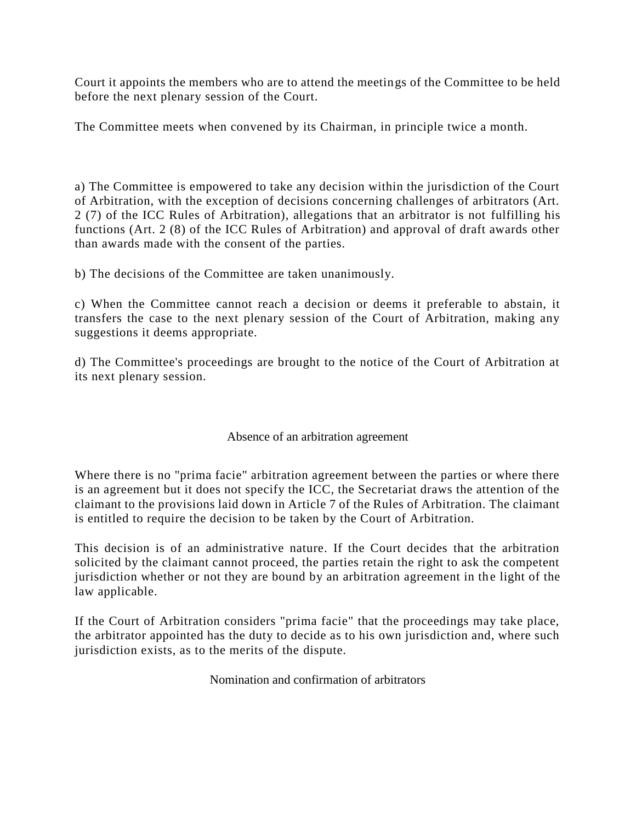Court it appoints the members who are to attend the meetings of the Committee to be held before the next plenary session of the Court.

The Committee meets when convened by its Chairman, in principle twice a month.

a) The Committee is empowered to take any decision within the jurisdiction of the Court of Arbitration, with the exception of decisions concerning challenges of arbitrators (Art. 2 (7) of the ICC Rules of Arbitration), allegations that an arbitrator is not fulfilling his functions (Art. 2 (8) of the ICC Rules of Arbitration) and approval of draft awards other than awards made with the consent of the parties.

b) The decisions of the Committee are taken unanimously.

c) When the Committee cannot reach a decision or deems it preferable to abstain, it transfers the case to the next plenary session of the Court of Arbitration, making any suggestions it deems appropriate.

d) The Committee's proceedings are brought to the notice of the Court of Arbitration at its next plenary session.

# Absence of an arbitration agreement

Where there is no "prima facie" arbitration agreement between the parties or where there is an agreement but it does not specify the ICC, the Secretariat draws the attention of the claimant to the provisions laid down in Article 7 of the Rules of Arbitration. The claimant is entitled to require the decision to be taken by the Court of Arbitration.

This decision is of an administrative nature. If the Court decides that the arbitration solicited by the claimant cannot proceed, the parties retain the right to ask the competent jurisdiction whether or not they are bound by an arbitration agreement in the light of the law applicable.

If the Court of Arbitration considers "prima facie" that the proceedings may take place, the arbitrator appointed has the duty to decide as to his own jurisdiction and, where such jurisdiction exists, as to the merits of the dispute.

Nomination and confirmation of arbitrators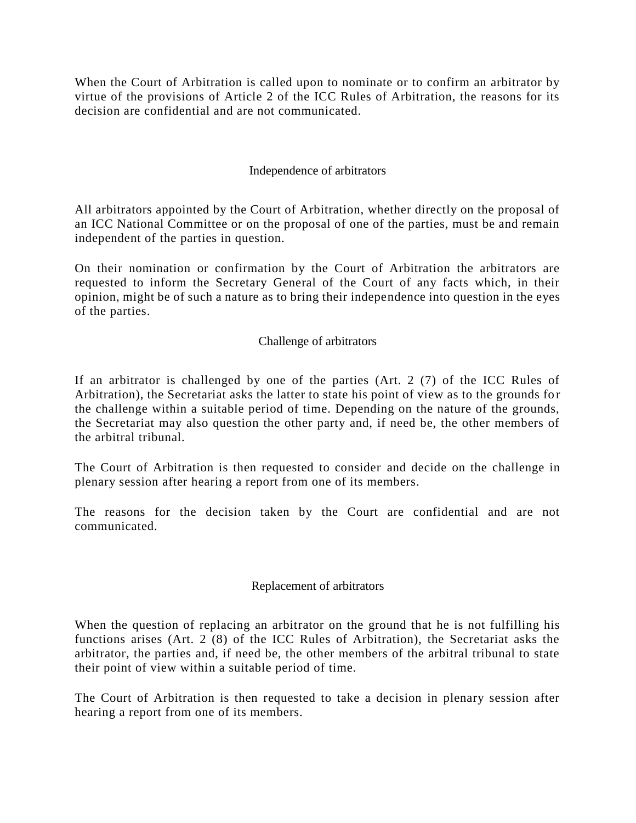When the Court of Arbitration is called upon to nominate or to confirm an arbitrator by virtue of the provisions of Article 2 of the ICC Rules of Arbitration, the reasons for its decision are confidential and are not communicated.

# Independence of arbitrators

All arbitrators appointed by the Court of Arbitration, whether directly on the proposal of an ICC National Committee or on the proposal of one of the parties, must be and remain independent of the parties in question.

On their nomination or confirmation by the Court of Arbitration the arbitrators are requested to inform the Secretary General of the Court of any facts which, in their opinion, might be of such a nature as to bring their independence into question in the eyes of the parties.

# Challenge of arbitrators

If an arbitrator is challenged by one of the parties (Art. 2 (7) of the ICC Rules of Arbitration), the Secretariat asks the latter to state his point of view as to the grounds for the challenge within a suitable period of time. Depending on the nature of the grounds, the Secretariat may also question the other party and, if need be, the other members of the arbitral tribunal.

The Court of Arbitration is then requested to consider and decide on the challenge in plenary session after hearing a report from one of its members.

The reasons for the decision taken by the Court are confidential and are not communicated.

# Replacement of arbitrators

When the question of replacing an arbitrator on the ground that he is not fulfilling his functions arises (Art. 2 (8) of the ICC Rules of Arbitration), the Secretariat asks the arbitrator, the parties and, if need be, the other members of the arbitral tribunal to state their point of view within a suitable period of time.

The Court of Arbitration is then requested to take a decision in plenary session after hearing a report from one of its members.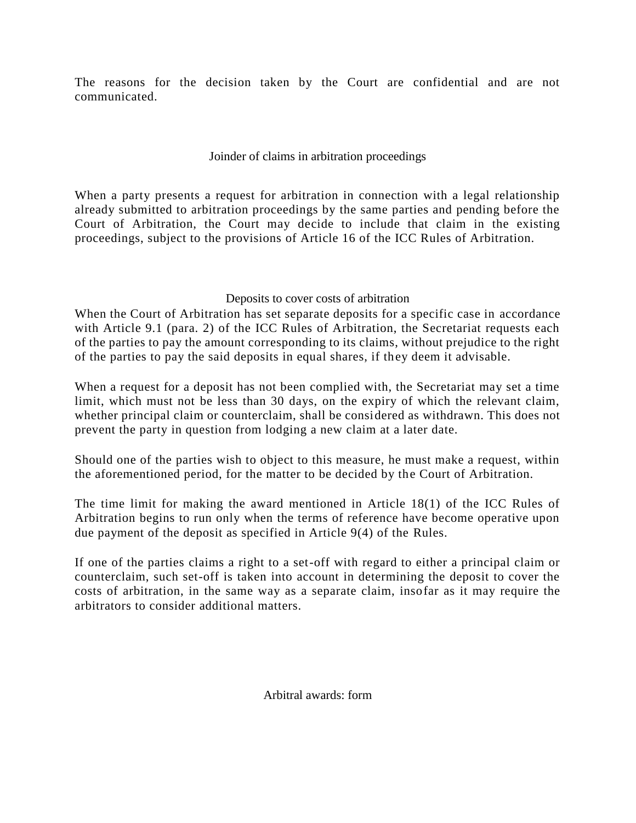The reasons for the decision taken by the Court are confidential and are not communicated.

# Joinder of claims in arbitration proceedings

When a party presents a request for arbitration in connection with a legal relationship already submitted to arbitration proceedings by the same parties and pending before the Court of Arbitration, the Court may decide to include that claim in the existing proceedings, subject to the provisions of Article 16 of the ICC Rules of Arbitration.

# Deposits to cover costs of arbitration

When the Court of Arbitration has set separate deposits for a specific case in accordance with Article 9.1 (para. 2) of the ICC Rules of Arbitration, the Secretariat requests each of the parties to pay the amount corresponding to its claims, without prejudice to the right of the parties to pay the said deposits in equal shares, if they deem it advisable.

When a request for a deposit has not been complied with, the Secretariat may set a time limit, which must not be less than 30 days, on the expiry of which the relevant claim, whether principal claim or counterclaim, shall be considered as withdrawn. This does not prevent the party in question from lodging a new claim at a later date.

Should one of the parties wish to object to this measure, he must make a request, within the aforementioned period, for the matter to be decided by the Court of Arbitration.

The time limit for making the award mentioned in Article 18(1) of the ICC Rules of Arbitration begins to run only when the terms of reference have become operative upon due payment of the deposit as specified in Article 9(4) of the Rules.

If one of the parties claims a right to a set-off with regard to either a principal claim or counterclaim, such set-off is taken into account in determining the deposit to cover the costs of arbitration, in the same way as a separate claim, insofar as it may require the arbitrators to consider additional matters.

Arbitral awards: form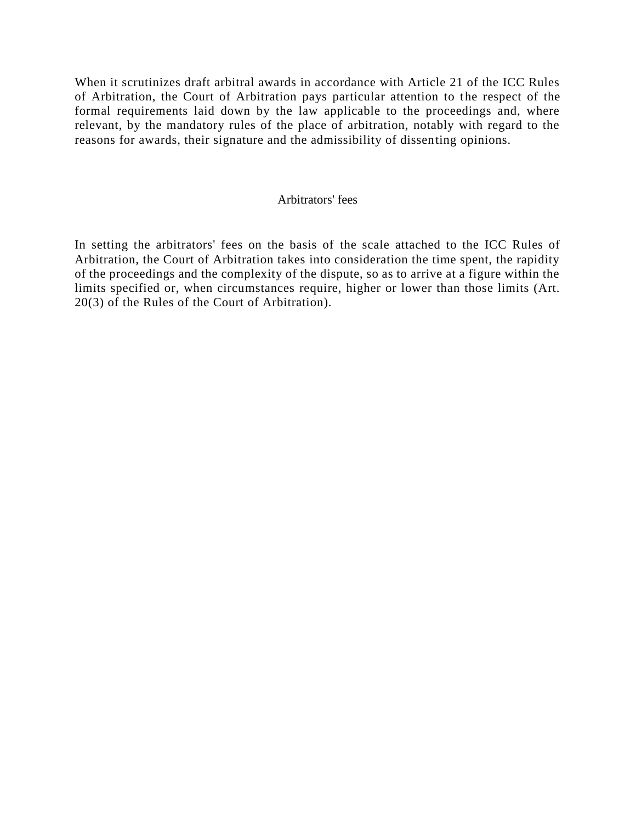When it scrutinizes draft arbitral awards in accordance with Article 21 of the ICC Rules of Arbitration, the Court of Arbitration pays particular attention to the respect of the formal requirements laid down by the law applicable to the proceedings and, where relevant, by the mandatory rules of the place of arbitration, notably with regard to the reasons for awards, their signature and the admissibility of dissenting opinions.

#### Arbitrators' fees

In setting the arbitrators' fees on the basis of the scale attached to the ICC Rules of Arbitration, the Court of Arbitration takes into consideration the time spent, the rapidity of the proceedings and the complexity of the dispute, so as to arrive at a figure within the limits specified or, when circumstances require, higher or lower than those limits (Art. 20(3) of the Rules of the Court of Arbitration).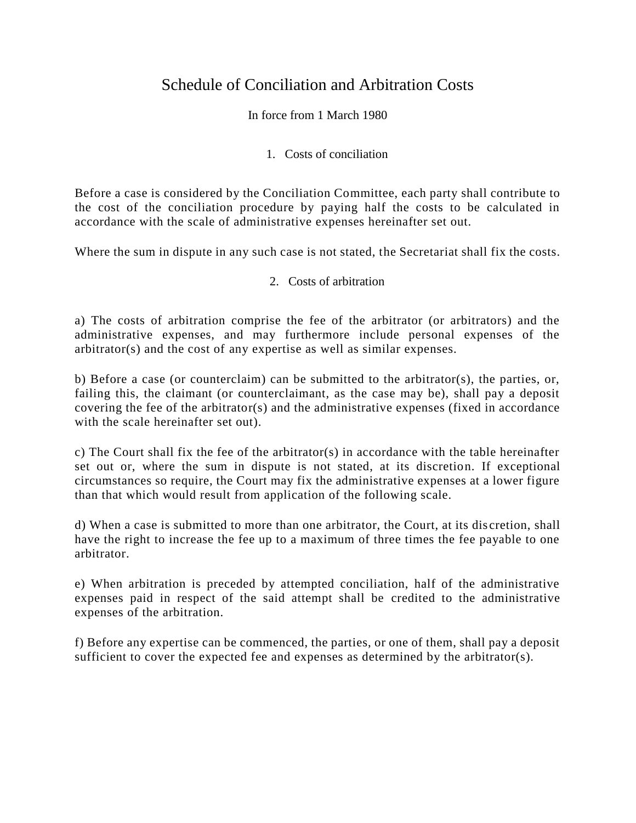# Schedule of Conciliation and Arbitration Costs

In force from 1 March 1980

# 1. Costs of conciliation

Before a case is considered by the Conciliation Committee, each party shall contribute to the cost of the conciliation procedure by paying half the costs to be calculated in accordance with the scale of administrative expenses hereinafter set out.

Where the sum in dispute in any such case is not stated, the Secretariat shall fix the costs.

2. Costs of arbitration

a) The costs of arbitration comprise the fee of the arbitrator (or arbitrators) and the administrative expenses, and may furthermore include personal expenses of the arbitrator(s) and the cost of any expertise as well as similar expenses.

b) Before a case (or counterclaim) can be submitted to the arbitrator(s), the parties, or, failing this, the claimant (or counterclaimant, as the case may be), shall pay a deposit covering the fee of the arbitrator(s) and the administrative expenses (fixed in accordance with the scale hereinafter set out).

c) The Court shall fix the fee of the arbitrator(s) in accordance with the table hereinafter set out or, where the sum in dispute is not stated, at its discretion. If exceptional circumstances so require, the Court may fix the administrative expenses at a lower figure than that which would result from application of the following scale.

d) When a case is submitted to more than one arbitrator, the Court, at its dis cretion, shall have the right to increase the fee up to a maximum of three times the fee payable to one arbitrator.

e) When arbitration is preceded by attempted conciliation, half of the administrative expenses paid in respect of the said attempt shall be credited to the administrative expenses of the arbitration.

f) Before any expertise can be commenced, the parties, or one of them, shall pay a deposit sufficient to cover the expected fee and expenses as determined by the arbitrator(s).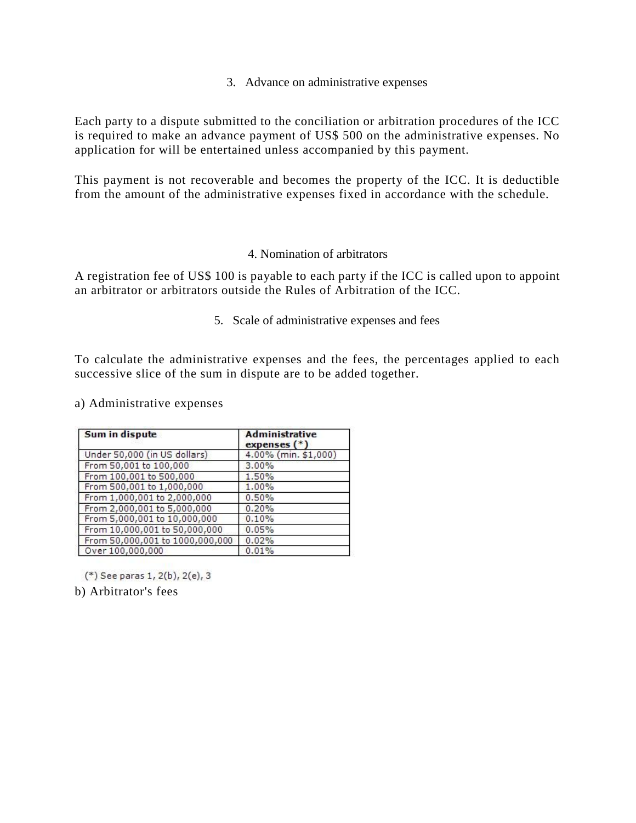3. Advance on administrative expenses

Each party to a dispute submitted to the conciliation or arbitration procedures of the ICC is required to make an advance payment of US\$ 500 on the administrative expenses. No application for will be entertained unless accompanied by this payment.

This payment is not recoverable and becomes the property of the ICC. It is deductible from the amount of the administrative expenses fixed in accordance with the schedule.

# 4. Nomination of arbitrators

A registration fee of US\$ 100 is payable to each party if the ICC is called upon to appoint an arbitrator or arbitrators outside the Rules of Arbitration of the ICC.

5. Scale of administrative expenses and fees

To calculate the administrative expenses and the fees, the percentages applied to each successive slice of the sum in dispute are to be added together.

a) Administrative expenses

| Sum in dispute                  | <b>Administrative</b><br>$expenses (*)$ |  |
|---------------------------------|-----------------------------------------|--|
| Under 50,000 (in US dollars)    | 4.00% (min. \$1,000)                    |  |
| From 50,001 to 100,000          | 3.00%                                   |  |
| From 100,001 to 500,000         | 1.50%                                   |  |
| From 500,001 to 1,000,000       | 1.00%                                   |  |
| From 1,000,001 to 2,000,000     | 0.50%                                   |  |
| From 2,000,001 to 5,000,000     | 0.20%                                   |  |
| From 5,000,001 to 10,000,000    | 0.10%                                   |  |
| From 10,000,001 to 50,000,000   | 0.05%                                   |  |
| From 50,000,001 to 1000,000,000 | 0.02%                                   |  |
| Over 100,000,000                | 0.01%                                   |  |

 $(*)$  See paras 1, 2(b), 2(e), 3

b) Arbitrator's fees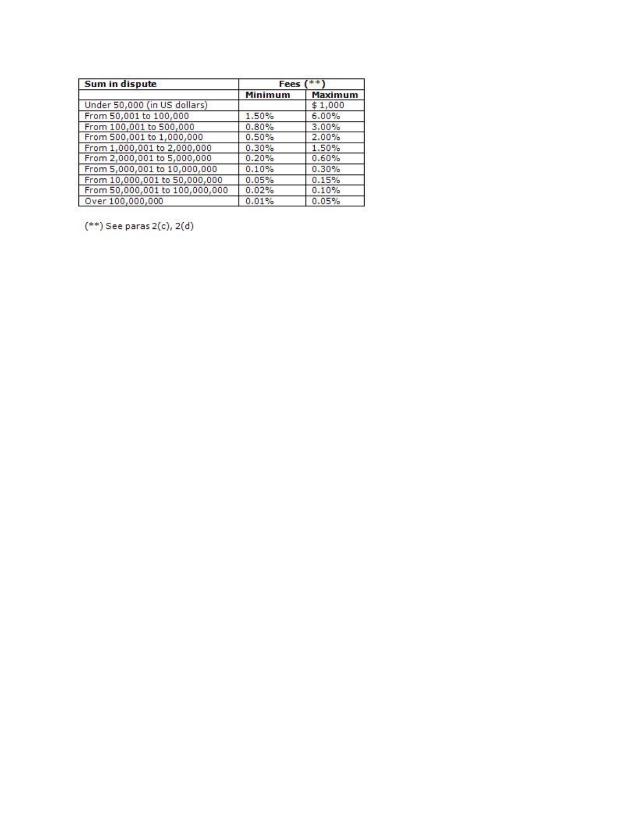| Sum in dispute                 | Fees $(**)$    |                |
|--------------------------------|----------------|----------------|
|                                | <b>Minimum</b> | <b>Maximum</b> |
| Under 50,000 (in US dollars)   |                | \$1,000        |
| From 50,001 to 100,000         | 1.50%          | 6.00%          |
| From 100,001 to 500,000        | 0.80%          | 3.00%          |
| From 500,001 to 1,000,000      | 0.50%          | 2.00%          |
| From 1,000,001 to 2,000,000    | 0.30%          | 1.50%          |
| From 2,000,001 to 5,000,000    | 0.20%          | 0.60%          |
| From 5,000,001 to 10,000,000   | 0.10%          | 0.30%          |
| From 10,000,001 to 50,000,000  | 0.05%          | 0.15%          |
| From 50,000,001 to 100,000,000 | 0.02%          | 0.10%          |
| Over 100,000,000               | 0.01%          | 0.05%          |

 $(**)$  See paras 2(c), 2(d)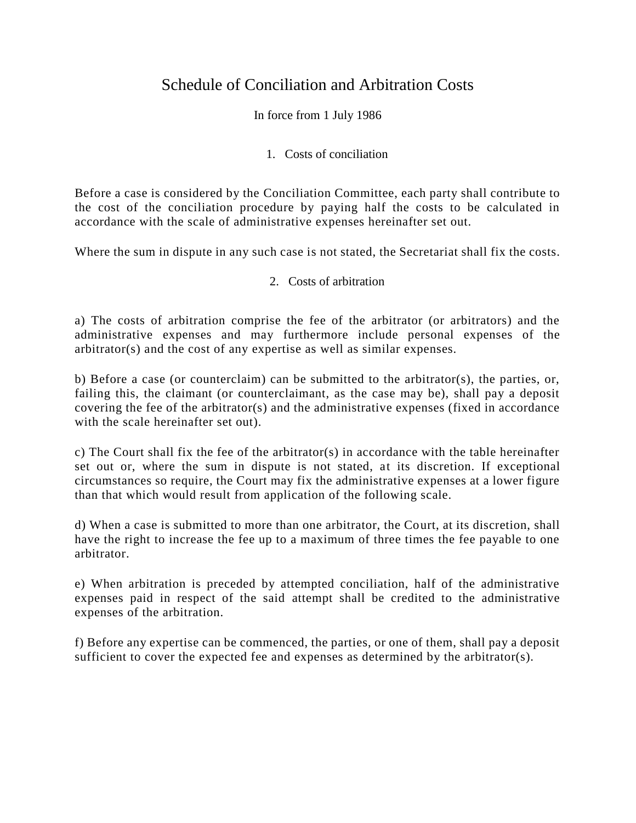# Schedule of Conciliation and Arbitration Costs

In force from 1 July 1986

# 1. Costs of conciliation

Before a case is considered by the Conciliation Committee, each party shall contribute to the cost of the conciliation procedure by paying half the costs to be calculated in accordance with the scale of administrative expenses hereinafter set out.

Where the sum in dispute in any such case is not stated, the Secretariat shall fix the costs.

2. Costs of arbitration

a) The costs of arbitration comprise the fee of the arbitrator (or arbitrators) and the administrative expenses and may furthermore include personal expenses of the arbitrator(s) and the cost of any expertise as well as similar expenses.

b) Before a case (or counterclaim) can be submitted to the arbitrator(s), the parties, or, failing this, the claimant (or counterclaimant, as the case may be), shall pay a deposit covering the fee of the arbitrator(s) and the administrative expenses (fixed in accordance with the scale hereinafter set out).

c) The Court shall fix the fee of the arbitrator(s) in accordance with the table hereinafter set out or, where the sum in dispute is not stated, at its discretion. If exceptional circumstances so require, the Court may fix the administrative expenses at a lower figure than that which would result from application of the following scale.

d) When a case is submitted to more than one arbitrator, the Court, at its discretion, shall have the right to increase the fee up to a maximum of three times the fee payable to one arbitrator.

e) When arbitration is preceded by attempted conciliation, half of the administrative expenses paid in respect of the said attempt shall be credited to the administrative expenses of the arbitration.

f) Before any expertise can be commenced, the parties, or one of them, shall pay a deposit sufficient to cover the expected fee and expenses as determined by the arbitrator(s).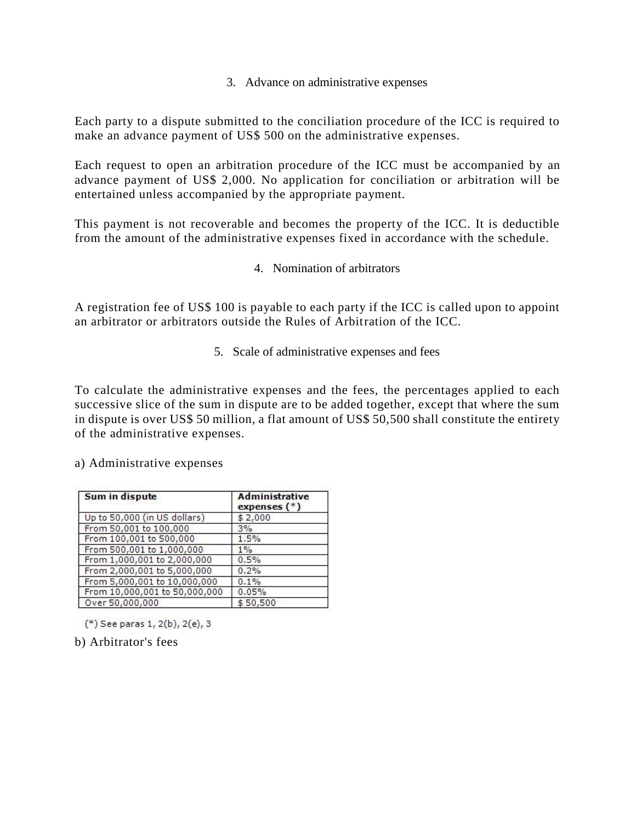3. Advance on administrative expenses

Each party to a dispute submitted to the conciliation procedure of the ICC is required to make an advance payment of US\$ 500 on the administrative expenses.

Each request to open an arbitration procedure of the ICC must be accompanied by an advance payment of US\$ 2,000. No application for conciliation or arbitration will be entertained unless accompanied by the appropriate payment.

This payment is not recoverable and becomes the property of the ICC. It is deductible from the amount of the administrative expenses fixed in accordance with the schedule.

4. Nomination of arbitrators

A registration fee of US\$ 100 is payable to each party if the ICC is called upon to appoint an arbitrator or arbitrators outside the Rules of Arbitration of the ICC.

5. Scale of administrative expenses and fees

To calculate the administrative expenses and the fees, the percentages applied to each successive slice of the sum in dispute are to be added together, except that where the sum in dispute is over US\$ 50 million, a flat amount of US\$ 50,500 shall constitute the entirety of the administrative expenses.

| Sum in dispute                | <b>Administrative</b><br>expenses (*) |  |
|-------------------------------|---------------------------------------|--|
| Up to 50,000 (in US dollars)  | \$2,000                               |  |
| From 50,001 to 100,000        | 3%                                    |  |
| From 100,001 to 500,000       | 1.5%                                  |  |
| From 500,001 to 1,000,000     | $1\%$                                 |  |
| From 1,000,001 to 2,000,000   | 0.5%<br>0.2%                          |  |
| From 2,000,001 to 5,000,000   |                                       |  |
| From 5,000,001 to 10,000,000  | 0.1%                                  |  |
| From 10,000,001 to 50,000,000 | 0.05%                                 |  |
| Over 50,000,000               | \$50,500                              |  |

a) Administrative expenses

 $(*)$  See paras 1, 2(b), 2(e), 3

b) Arbitrator's fees